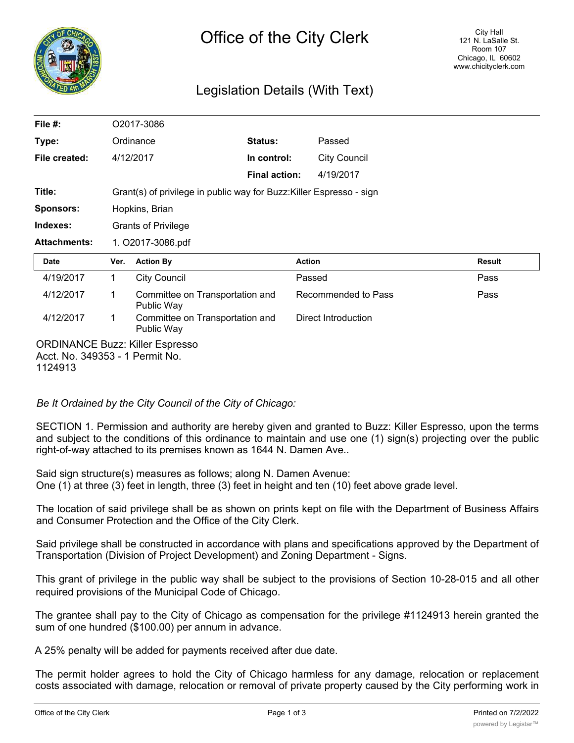

# Legislation Details (With Text)

| File $#$ :          |                   | O2017-3086                                                           |                      |                     |               |  |
|---------------------|-------------------|----------------------------------------------------------------------|----------------------|---------------------|---------------|--|
| Type:               |                   | Ordinance                                                            | Status:              | Passed              |               |  |
| File created:       |                   | 4/12/2017                                                            | In control:          | <b>City Council</b> |               |  |
|                     |                   |                                                                      | <b>Final action:</b> | 4/19/2017           |               |  |
| Title:              |                   | Grant(s) of privilege in public way for Buzz: Killer Espresso - sign |                      |                     |               |  |
| <b>Sponsors:</b>    |                   | Hopkins, Brian                                                       |                      |                     |               |  |
| Indexes:            |                   | <b>Grants of Privilege</b>                                           |                      |                     |               |  |
| <b>Attachments:</b> | 1. O2017-3086.pdf |                                                                      |                      |                     |               |  |
|                     |                   |                                                                      |                      |                     |               |  |
| <b>Date</b>         | Ver.              | <b>Action By</b>                                                     |                      | <b>Action</b>       | <b>Result</b> |  |
| 4/19/2017           | 1                 | <b>City Council</b>                                                  |                      | Passed              | Pass          |  |
| 4/12/2017           | 1                 | Committee on Transportation and<br>Public Way                        |                      | Recommended to Pass | Pass          |  |
| 4/12/2017           | 1                 | Committee on Transportation and<br>Public Way                        |                      | Direct Introduction |               |  |

*Be It Ordained by the City Council of the City of Chicago:*

SECTION 1. Permission and authority are hereby given and granted to Buzz: Killer Espresso, upon the terms and subject to the conditions of this ordinance to maintain and use one (1) sign(s) projecting over the public right-of-way attached to its premises known as 1644 N. Damen Ave..

Said sign structure(s) measures as follows; along N. Damen Avenue: One (1) at three (3) feet in length, three (3) feet in height and ten (10) feet above grade level.

The location of said privilege shall be as shown on prints kept on file with the Department of Business Affairs and Consumer Protection and the Office of the City Clerk.

Said privilege shall be constructed in accordance with plans and specifications approved by the Department of Transportation (Division of Project Development) and Zoning Department - Signs.

This grant of privilege in the public way shall be subject to the provisions of Section 10-28-015 and all other required provisions of the Municipal Code of Chicago.

The grantee shall pay to the City of Chicago as compensation for the privilege #1124913 herein granted the sum of one hundred (\$100.00) per annum in advance.

A 25% penalty will be added for payments received after due date.

The permit holder agrees to hold the City of Chicago harmless for any damage, relocation or replacement costs associated with damage, relocation or removal of private property caused by the City performing work in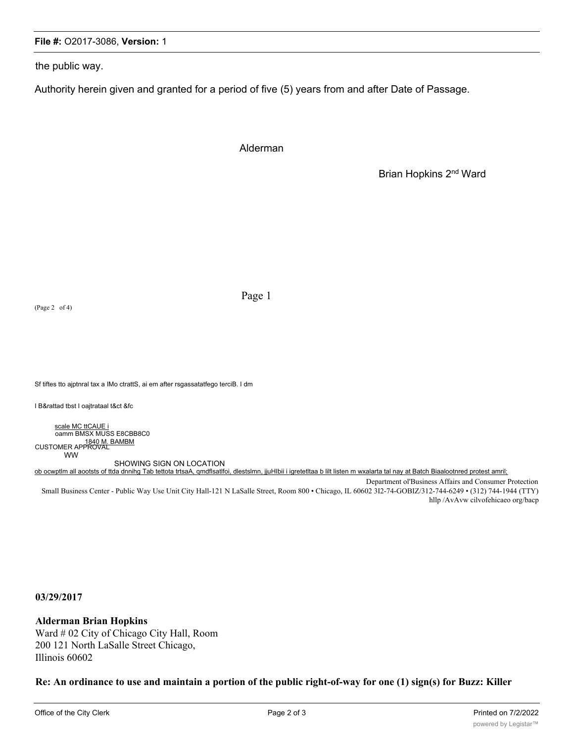## **File #:** O2017-3086, **Version:** 1

the public way.

Authority herein given and granted for a period of five (5) years from and after Date of Passage.

Alderman

Brian Hopkins 2nd Ward

(Page 2 of 4)

Page 1

Sf tiftes tto ajptnral tax a IMo ctrattS, ai em after rsgassatatfego terciB. I dm

I B&rattad tbst I oajtrataal t&ct &fc

scale MC ttCAUE i oamm BMSX MUSS E8CBB8C0 1840 M. BAMBM<br>CUSTOMER APPROVAL WW

SHOWING SIGN ON LOCATION ob ocwptlm all aootsts of ttda dnnihg Tab tettota trtsaA, qmdflsatlfoi, dlestslmn, jjuHIbii i igretetltaa b lilt listen m wxalarta tal nay at Batch Biaalootnred protest amril;

Department ol'Business Affairs and Consumer Protection Small Business Center - Public Way Use Unit City Hall-121 N LaSalle Street, Room 800 • Chicago, IL 60602 3I2-74-GOBIZ/312-744-6249 • (312) 744-1944 (TTY) hllp /AvAvw cilvofehicaeo org/bacp

**03/29/2017**

#### **Alderman Brian Hopkins**

Ward # 02 City of Chicago City Hall, Room 200 121 North LaSalle Street Chicago, Illinois 60602

**Re: An ordinance to use and maintain a portion of the public right-of-way for one (1) sign(s) for Buzz: Killer**